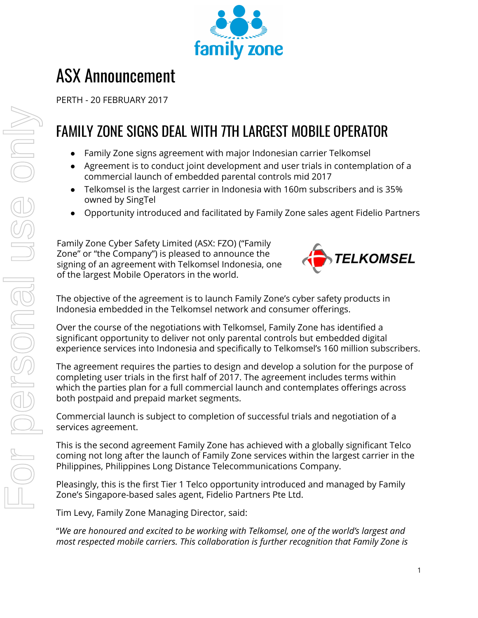

## ASX Announcement

PERTH - 20 FEBRUARY 2017

## FAMILY ZONE SIGNS DEAL WITH 7TH LARGEST MOBILE OPERATOR

- Family Zone signs agreement with major Indonesian carrier Telkomsel
- Agreement is to conduct joint development and user trials in contemplation of a commercial launch of embedded parental controls mid 2017
- Telkomsel is the largest carrier in Indonesia with 160m subscribers and is 35% owned by SingTel
- Opportunity introduced and facilitated by Family Zone sales agent Fidelio Partners

Family Zone Cyber Safety Limited (ASX: FZO) ("Family Zone" or "the Company") is pleased to announce the signing of an agreement with Telkomsel Indonesia, one of the largest Mobile Operators in the world.



The objective of the agreement is to launch Family Zone's cyber safety products in Indonesia embedded in the Telkomsel network and consumer offerings.

Over the course of the negotiations with Telkomsel, Family Zone has identified a significant opportunity to deliver not only parental controls but embedded digital experience services into Indonesia and specifically to Telkomsel's 160 million subscribers.

The agreement requires the parties to design and develop a solution for the purpose of completing user trials in the first half of 2017. The agreement includes terms within which the parties plan for a full commercial launch and contemplates offerings across both postpaid and prepaid market segments.

Commercial launch is subject to completion of successful trials and negotiation of a services agreement.

This is the second agreement Family Zone has achieved with a globally significant Telco coming not long after the launch of Family Zone services within the largest carrier in the Philippines, Philippines Long Distance Telecommunications Company.

Pleasingly, this is the first Tier 1 Telco opportunity introduced and managed by Family Zone's Singapore-based sales agent, Fidelio Partners Pte Ltd.

Tim Levy, Family Zone Managing Director, said:

"*We are honoured and excited to be working with Telkomsel, one of the world's largest and most respected mobile carriers. This collaboration is further recognition that Family Zone is*